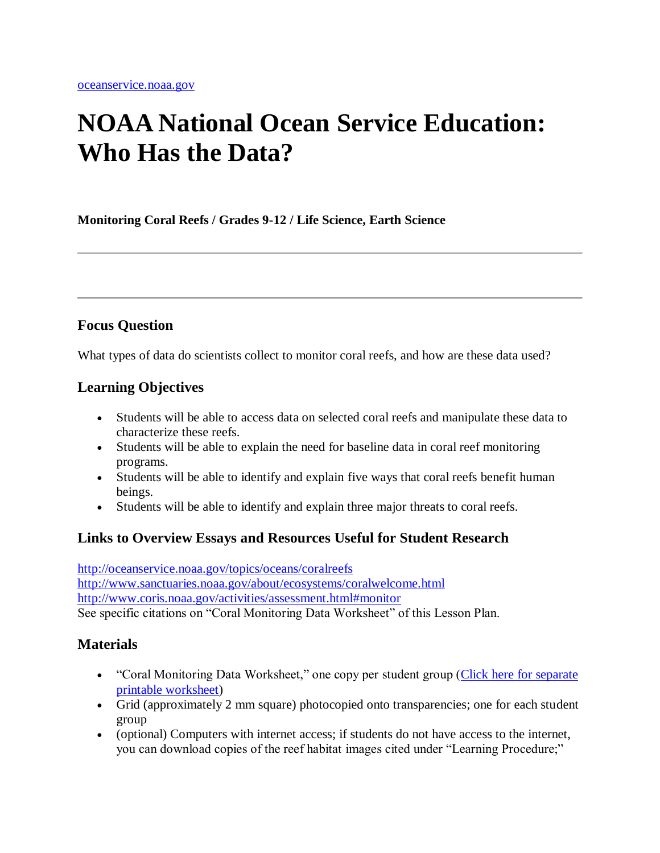# **NOAA National Ocean Service Education: Who Has the Data?**

**Monitoring Coral Reefs / Grades 9-12 / Life Science, Earth Science**

### **Focus Question**

What types of data do scientists collect to monitor coral reefs, and how are these data used?

### **Learning Objectives**

- Students will be able to access data on selected coral reefs and manipulate these data to characterize these reefs.
- Students will be able to explain the need for baseline data in coral reef monitoring programs.
- Students will be able to identify and explain five ways that coral reefs benefit human beings.
- Students will be able to identify and explain three major threats to coral reefs.

### **Links to Overview Essays and Resources Useful for Student Research**

<http://oceanservice.noaa.gov/topics/oceans/coralreefs> <http://www.sanctuaries.noaa.gov/about/ecosystems/coralwelcome.html> <http://www.coris.noaa.gov/activities/assessment.html#monitor> See specific citations on "Coral Monitoring Data Worksheet" of this Lesson Plan.

### **Materials**

- "Coral Monitoring Data Worksheet," one copy per student group (Click here for separate [printable worksheet\)](http://oceanservice.noaa.gov/education/lessons/whohasdata_wrksheet.html)
- Grid (approximately 2 mm square) photocopied onto transparencies; one for each student group
- (optional) Computers with internet access; if students do not have access to the internet, you can download copies of the reef habitat images cited under "Learning Procedure;"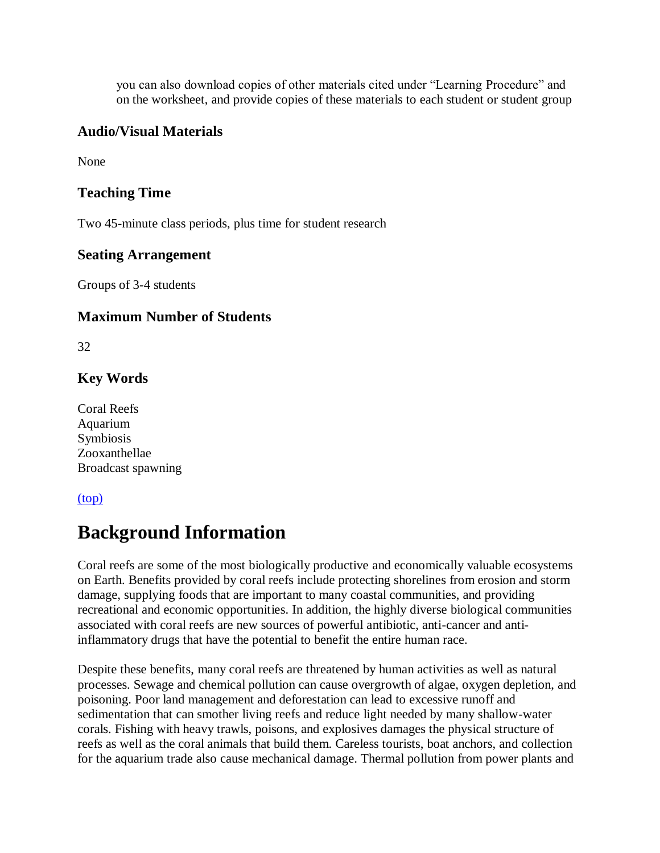you can also download copies of other materials cited under "Learning Procedure" and on the worksheet, and provide copies of these materials to each student or student group

### **Audio/Visual Materials**

None

### **Teaching Time**

Two 45-minute class periods, plus time for student research

### **Seating Arrangement**

Groups of 3-4 students

### **Maximum Number of Students**

32

### **Key Words**

Coral Reefs Aquarium Symbiosis Zooxanthellae Broadcast spawning

### [\(top\)](http://oceanservice.noaa.gov/education/lessons/#top)

# **Background Information**

Coral reefs are some of the most biologically productive and economically valuable ecosystems on Earth. Benefits provided by coral reefs include protecting shorelines from erosion and storm damage, supplying foods that are important to many coastal communities, and providing recreational and economic opportunities. In addition, the highly diverse biological communities associated with coral reefs are new sources of powerful antibiotic, anti-cancer and antiinflammatory drugs that have the potential to benefit the entire human race.

Despite these benefits, many coral reefs are threatened by human activities as well as natural processes. Sewage and chemical pollution can cause overgrowth of algae, oxygen depletion, and poisoning. Poor land management and deforestation can lead to excessive runoff and sedimentation that can smother living reefs and reduce light needed by many shallow-water corals. Fishing with heavy trawls, poisons, and explosives damages the physical structure of reefs as well as the coral animals that build them. Careless tourists, boat anchors, and collection for the aquarium trade also cause mechanical damage. Thermal pollution from power plants and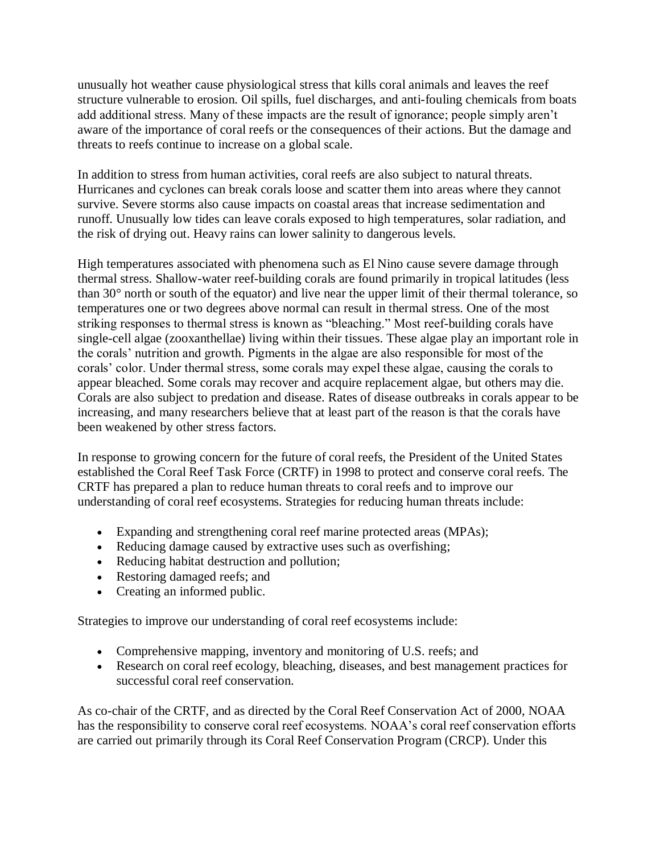unusually hot weather cause physiological stress that kills coral animals and leaves the reef structure vulnerable to erosion. Oil spills, fuel discharges, and anti-fouling chemicals from boats add additional stress. Many of these impacts are the result of ignorance; people simply aren't aware of the importance of coral reefs or the consequences of their actions. But the damage and threats to reefs continue to increase on a global scale.

In addition to stress from human activities, coral reefs are also subject to natural threats. Hurricanes and cyclones can break corals loose and scatter them into areas where they cannot survive. Severe storms also cause impacts on coastal areas that increase sedimentation and runoff. Unusually low tides can leave corals exposed to high temperatures, solar radiation, and the risk of drying out. Heavy rains can lower salinity to dangerous levels.

High temperatures associated with phenomena such as El Nino cause severe damage through thermal stress. Shallow-water reef-building corals are found primarily in tropical latitudes (less than 30° north or south of the equator) and live near the upper limit of their thermal tolerance, so temperatures one or two degrees above normal can result in thermal stress. One of the most striking responses to thermal stress is known as "bleaching." Most reef-building corals have single-cell algae (zooxanthellae) living within their tissues. These algae play an important role in the corals' nutrition and growth. Pigments in the algae are also responsible for most of the corals' color. Under thermal stress, some corals may expel these algae, causing the corals to appear bleached. Some corals may recover and acquire replacement algae, but others may die. Corals are also subject to predation and disease. Rates of disease outbreaks in corals appear to be increasing, and many researchers believe that at least part of the reason is that the corals have been weakened by other stress factors.

In response to growing concern for the future of coral reefs, the President of the United States established the Coral Reef Task Force (CRTF) in 1998 to protect and conserve coral reefs. The CRTF has prepared a plan to reduce human threats to coral reefs and to improve our understanding of coral reef ecosystems. Strategies for reducing human threats include:

- Expanding and strengthening coral reef marine protected areas (MPAs);
- Reducing damage caused by extractive uses such as overfishing;
- Reducing habitat destruction and pollution;
- Restoring damaged reefs; and
- Creating an informed public.

Strategies to improve our understanding of coral reef ecosystems include:

- Comprehensive mapping, inventory and monitoring of U.S. reefs; and
- Research on coral reef ecology, bleaching, diseases, and best management practices for successful coral reef conservation.

As co-chair of the CRTF, and as directed by the Coral Reef Conservation Act of 2000, NOAA has the responsibility to conserve coral reef ecosystems. NOAA's coral reef conservation efforts are carried out primarily through its Coral Reef Conservation Program (CRCP). Under this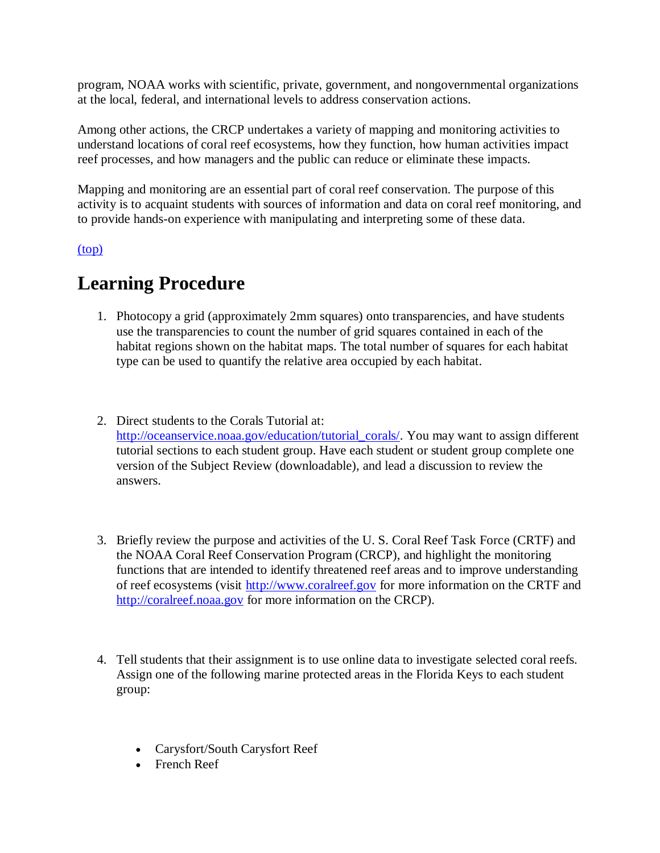program, NOAA works with scientific, private, government, and nongovernmental organizations at the local, federal, and international levels to address conservation actions.

Among other actions, the CRCP undertakes a variety of mapping and monitoring activities to understand locations of coral reef ecosystems, how they function, how human activities impact reef processes, and how managers and the public can reduce or eliminate these impacts.

Mapping and monitoring are an essential part of coral reef conservation. The purpose of this activity is to acquaint students with sources of information and data on coral reef monitoring, and to provide hands-on experience with manipulating and interpreting some of these data.

#### [\(top\)](http://oceanservice.noaa.gov/education/lessons/#top)

### **Learning Procedure**

- 1. Photocopy a grid (approximately 2mm squares) onto transparencies, and have students use the transparencies to count the number of grid squares contained in each of the habitat regions shown on the habitat maps. The total number of squares for each habitat type can be used to quantify the relative area occupied by each habitat.
- 2. Direct students to the Corals Tutorial at: [http://oceanservice.noaa.gov/education/tutorial\\_corals/.](http://oceanservice.noaa.gov/education/tutorial_corals/) You may want to assign different tutorial sections to each student group. Have each student or student group complete one version of the Subject Review (downloadable), and lead a discussion to review the answers.
- 3. Briefly review the purpose and activities of the U. S. Coral Reef Task Force (CRTF) and the NOAA Coral Reef Conservation Program (CRCP), and highlight the monitoring functions that are intended to identify threatened reef areas and to improve understanding of reef ecosystems (visit [http://www.coralreef.gov](http://www.coralreef.gov/) for more information on the CRTF and [http://coralreef.noaa.gov](http://coralreef.noaa.gov/) for more information on the CRCP).
- 4. Tell students that their assignment is to use online data to investigate selected coral reefs. Assign one of the following marine protected areas in the Florida Keys to each student group:
	- Carysfort/South Carysfort Reef
	- French Reef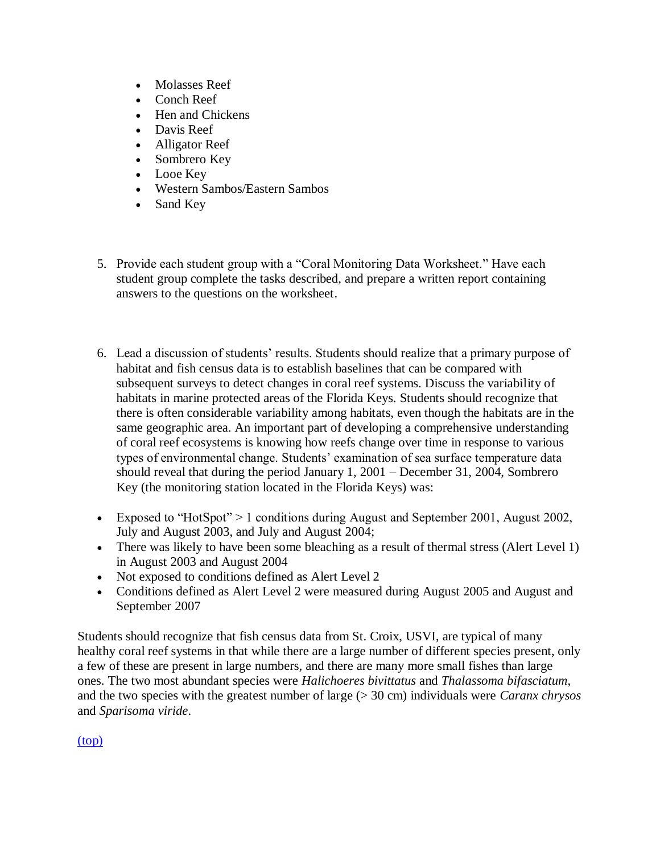- Molasses Reef
- Conch Reef
- Hen and Chickens
- Davis Reef
- Alligator Reef
- Sombrero Key
- Looe Key
- Western Sambos/Eastern Sambos
- Sand Key
- 5. Provide each student group with a "Coral Monitoring Data Worksheet." Have each student group complete the tasks described, and prepare a written report containing answers to the questions on the worksheet.
- 6. Lead a discussion of students' results. Students should realize that a primary purpose of habitat and fish census data is to establish baselines that can be compared with subsequent surveys to detect changes in coral reef systems. Discuss the variability of habitats in marine protected areas of the Florida Keys. Students should recognize that there is often considerable variability among habitats, even though the habitats are in the same geographic area. An important part of developing a comprehensive understanding of coral reef ecosystems is knowing how reefs change over time in response to various types of environmental change. Students' examination of sea surface temperature data should reveal that during the period January 1, 2001 – December 31, 2004, Sombrero Key (the monitoring station located in the Florida Keys) was:
- Exposed to "HotSpot"  $> 1$  conditions during August and September 2001, August 2002, July and August 2003, and July and August 2004;
- There was likely to have been some bleaching as a result of thermal stress (Alert Level 1) in August 2003 and August 2004
- Not exposed to conditions defined as Alert Level 2
- Conditions defined as Alert Level 2 were measured during August 2005 and August and September 2007

Students should recognize that fish census data from St. Croix, USVI, are typical of many healthy coral reef systems in that while there are a large number of different species present, only a few of these are present in large numbers, and there are many more small fishes than large ones. The two most abundant species were *Halichoeres bivittatus* and *Thalassoma bifasciatum*, and the two species with the greatest number of large (> 30 cm) individuals were *Caranx chrysos* and *Sparisoma viride*.

[\(top\)](http://oceanservice.noaa.gov/education/lessons/#top)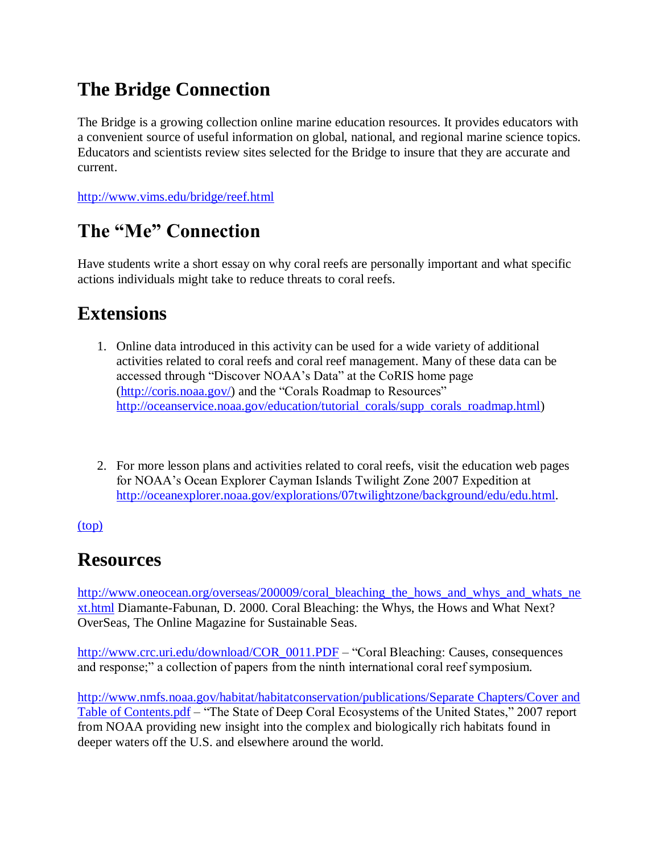# **The Bridge Connection**

The Bridge is a growing collection online marine education resources. It provides educators with a convenient source of useful information on global, national, and regional marine science topics. Educators and scientists review sites selected for the Bridge to insure that they are accurate and current.

[http://www.vims.edu/bridge/reef.html](http://oceanservice.noaa.gov/exit.php?url=http%3A%2F%2Fwww.vims.edu%2Fbridge%2Freef.html)

## **The "Me" Connection**

Have students write a short essay on why coral reefs are personally important and what specific actions individuals might take to reduce threats to coral reefs.

### **Extensions**

- 1. Online data introduced in this activity can be used for a wide variety of additional activities related to coral reefs and coral reef management. Many of these data can be accessed through "Discover NOAA's Data" at the CoRIS home page [\(http://coris.noaa.gov/\)](http://coris.noaa.gov/) and the ["](http://oceanservice.noaa.gov/education/tutorial_corals/supp_corals_roadmap.html)Corals Roadmap to Resources" [http://oceanservice.noaa.gov/education/tutorial\\_corals/supp\\_corals\\_roadmap.html\)](http://oceanservice.noaa.gov/education/tutorial_corals/supp_corals_roadmap.html)
- 2. For more lesson plans and activities related to coral reefs, visit the education web pages for NOAA's Ocean Explorer Cayman Islands Twilight Zone 2007 Expedition at [http://oceanexplorer.noaa.gov/explorations/07twilightzone/background/edu/edu.html.](http://oceanexplorer.noaa.gov/explorations/07twilightzone/background/edu/edu.html)

[\(top\)](http://oceanservice.noaa.gov/education/lessons/#top)

### **Resources**

[http://www.oneocean.org/overseas/200009/coral\\_bleaching\\_the\\_hows\\_and\\_whys\\_and\\_whats\\_ne](http://oceanservice.noaa.gov/exit.php?url=http%3A%2F%2Fwww.oneocean.org%2Foverseas%2F200009%2Fcoral_bleaching_the_hows_and_whys_and_whats_next.html) [xt.html](http://oceanservice.noaa.gov/exit.php?url=http%3A%2F%2Fwww.oneocean.org%2Foverseas%2F200009%2Fcoral_bleaching_the_hows_and_whys_and_whats_next.html) Diamante-Fabunan, D. 2000. Coral Bleaching: the Whys, the Hows and What Next? OverSeas, The Online Magazine for Sustainable Seas.

[http://www.crc.uri.edu/download/COR\\_0011.PDF](http://oceanservice.noaa.gov/exit.php?url=http%3A%2F%2Fwww.crc.uri.edu%2Fdownload%2FCOR_0011.PDF) – "Coral Bleaching: Causes, consequences and response;" a collection of papers from the ninth international coral reef symposium.

[http://www.nmfs.noaa.gov/habitat/habitatconservation/publications/Separate Chapters/Cover and](http://www.nmfs.noaa.gov/habitat/habitatconservation/publications/Separate%20Chapters/Cover%20and%20Table%20of%20Contents.pdf)  [Table of Contents.pdf](http://www.nmfs.noaa.gov/habitat/habitatconservation/publications/Separate%20Chapters/Cover%20and%20Table%20of%20Contents.pdf) *–* "The State of Deep Coral Ecosystems of the United States," 2007 report from NOAA providing new insight into the complex and biologically rich habitats found in deeper waters off the U.S. and elsewhere around the world.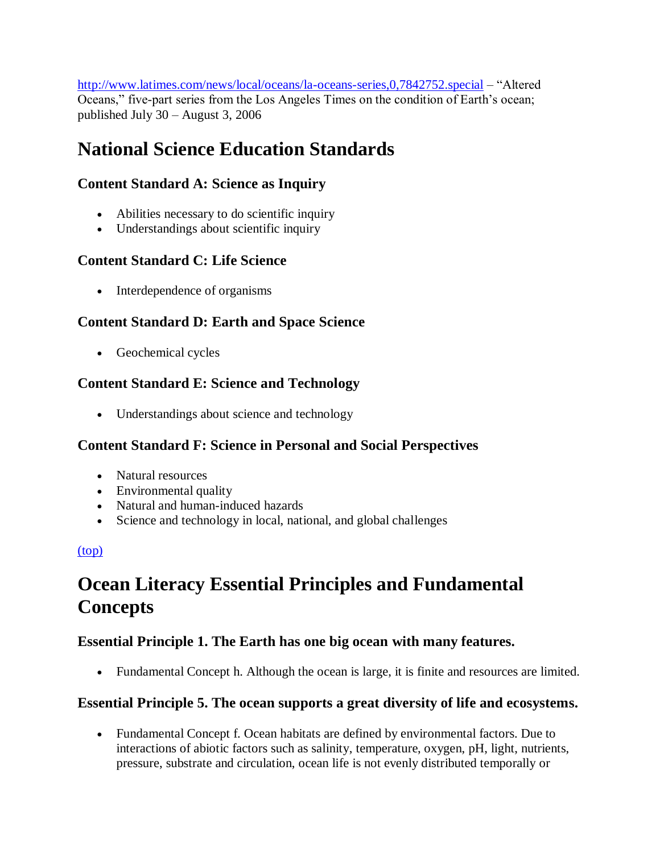[http://www.latimes.com/news/local/oceans/la-oceans-series,0,7842752.special](http://oceanservice.noaa.gov/exit.php?url=http%3A%2F%2Fwww.latimes.com%2Fnews%2Flocal%2Foceans%2Fla-oceans-series%2C0%2C7842752.special) – "Altered Oceans," five-part series from the Los Angeles Times on the condition of Earth's ocean; published July 30 – August 3, 2006

# **National Science Education Standards**

### **Content Standard A: Science as Inquiry**

- Abilities necessary to do scientific inquiry
- Understandings about scientific inquiry

### **Content Standard C: Life Science**

• Interdependence of organisms

### **Content Standard D: Earth and Space Science**

Geochemical cycles

### **Content Standard E: Science and Technology**

• Understandings about science and technology

### **Content Standard F: Science in Personal and Social Perspectives**

- Natural resources
- Environmental quality
- Natural and human-induced hazards
- Science and technology in local, national, and global challenges

### [\(top\)](http://oceanservice.noaa.gov/education/lessons/#top)

# **Ocean Literacy Essential Principles and Fundamental Concepts**

### **Essential Principle 1. The Earth has one big ocean with many features.**

Fundamental Concept h. Although the ocean is large, it is finite and resources are limited.

### **Essential Principle 5. The ocean supports a great diversity of life and ecosystems.**

 Fundamental Concept f. Ocean habitats are defined by environmental factors. Due to interactions of abiotic factors such as salinity, temperature, oxygen, pH, light, nutrients, pressure, substrate and circulation, ocean life is not evenly distributed temporally or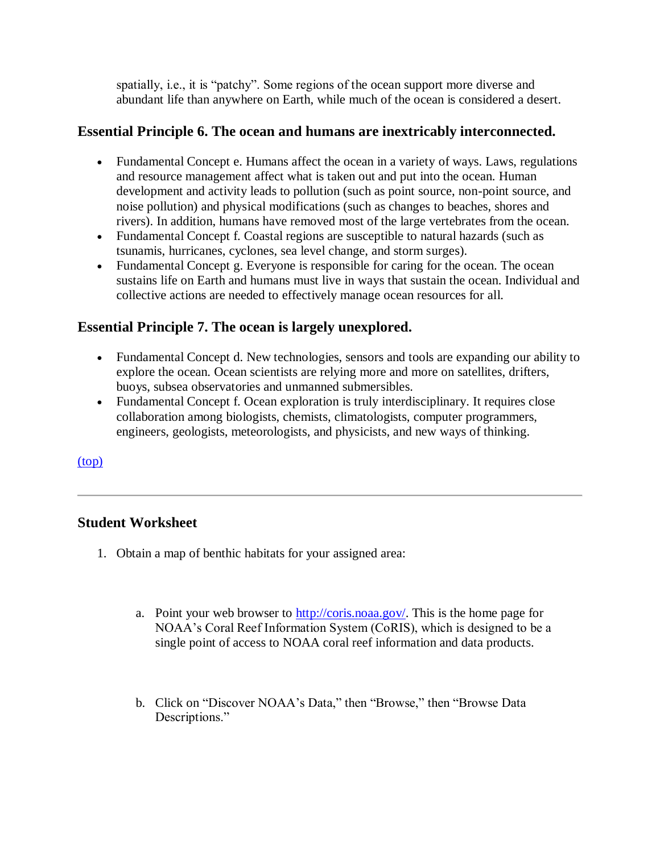spatially, i.e., it is "patchy". Some regions of the ocean support more diverse and abundant life than anywhere on Earth, while much of the ocean is considered a desert.

### **Essential Principle 6. The ocean and humans are inextricably interconnected.**

- Fundamental Concept e. Humans affect the ocean in a variety of ways. Laws, regulations and resource management affect what is taken out and put into the ocean. Human development and activity leads to pollution (such as point source, non-point source, and noise pollution) and physical modifications (such as changes to beaches, shores and rivers). In addition, humans have removed most of the large vertebrates from the ocean.
- Fundamental Concept f. Coastal regions are susceptible to natural hazards (such as tsunamis, hurricanes, cyclones, sea level change, and storm surges).
- Fundamental Concept g. Everyone is responsible for caring for the ocean. The ocean sustains life on Earth and humans must live in ways that sustain the ocean. Individual and collective actions are needed to effectively manage ocean resources for all.

### **Essential Principle 7. The ocean is largely unexplored.**

- Fundamental Concept d. New technologies, sensors and tools are expanding our ability to explore the ocean. Ocean scientists are relying more and more on satellites, drifters, buoys, subsea observatories and unmanned submersibles.
- Fundamental Concept f. Ocean exploration is truly interdisciplinary. It requires close collaboration among biologists, chemists, climatologists, computer programmers, engineers, geologists, meteorologists, and physicists, and new ways of thinking.

[\(top\)](http://oceanservice.noaa.gov/education/lessons/#top)

### **Student Worksheet**

- 1. Obtain a map of benthic habitats for your assigned area:
	- a. Point your web browser to [http://coris.noaa.gov/.](http://coris.noaa.gov/) This is the home page for NOAA's Coral Reef Information System (CoRIS), which is designed to be a single point of access to NOAA coral reef information and data products.
	- b. Click on "Discover NOAA's Data," then "Browse," then "Browse Data Descriptions."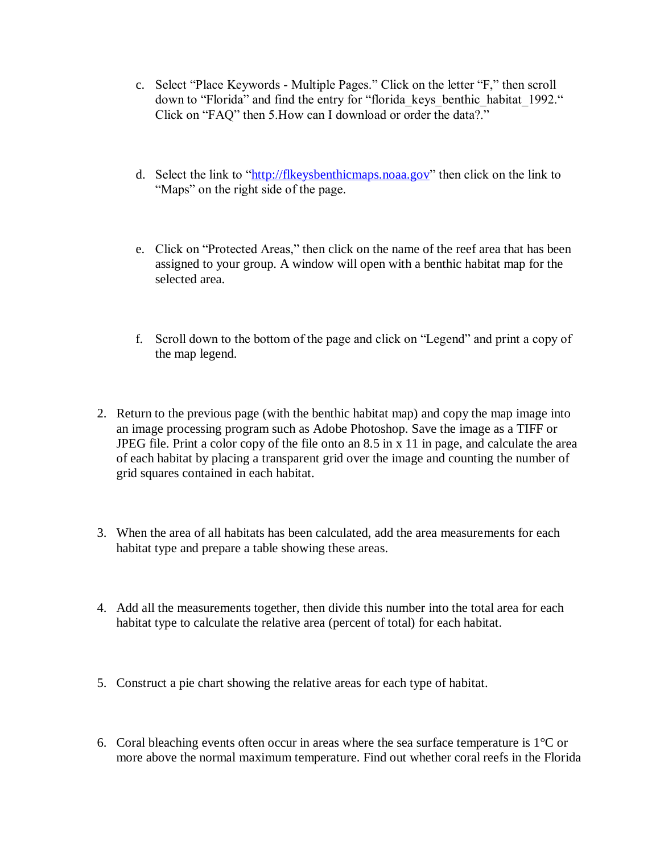- c. Select "Place Keywords Multiple Pages." Click on the letter "F," then scroll down to "Florida" and find the entry for "florida keys\_benthic\_habitat\_1992." Click on "FAQ" then 5.How can I download or order the data?."
- d. Select the link to ["http://flkeysbenthicmaps.noaa.gov"](http://flkeysbenthicmaps.noaa.gov/) then click on the link to "Maps" on the right side of the page.
- e. Click on "Protected Areas," then click on the name of the reef area that has been assigned to your group. A window will open with a benthic habitat map for the selected area.
- f. Scroll down to the bottom of the page and click on "Legend" and print a copy of the map legend.
- 2. Return to the previous page (with the benthic habitat map) and copy the map image into an image processing program such as Adobe Photoshop. Save the image as a TIFF or JPEG file. Print a color copy of the file onto an 8.5 in x 11 in page, and calculate the area of each habitat by placing a transparent grid over the image and counting the number of grid squares contained in each habitat.
- 3. When the area of all habitats has been calculated, add the area measurements for each habitat type and prepare a table showing these areas.
- 4. Add all the measurements together, then divide this number into the total area for each habitat type to calculate the relative area (percent of total) for each habitat.
- 5. Construct a pie chart showing the relative areas for each type of habitat.
- 6. Coral bleaching events often occur in areas where the sea surface temperature is  $1^{\circ}$ C or more above the normal maximum temperature. Find out whether coral reefs in the Florida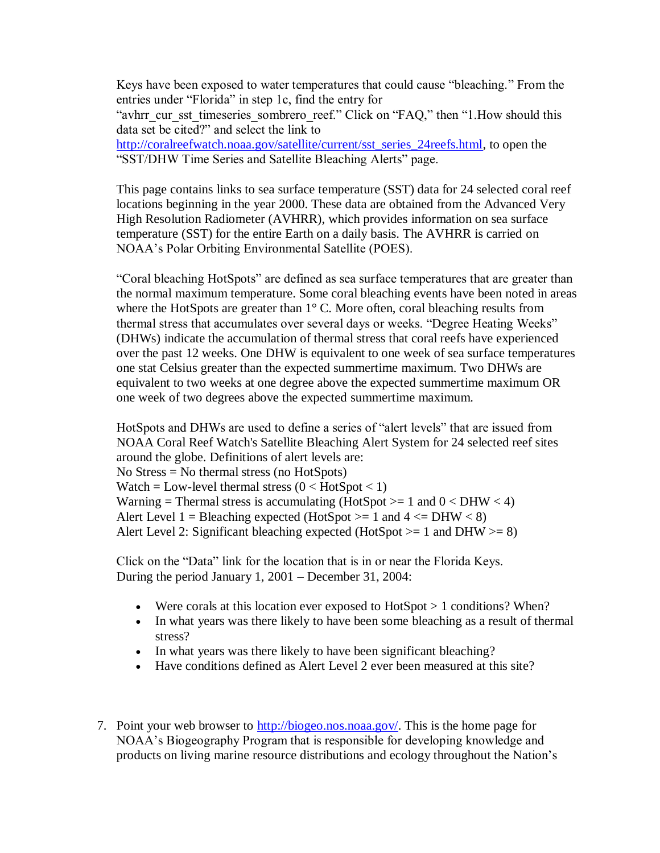Keys have been exposed to water temperatures that could cause "bleaching." From the entries under "Florida" in step 1c, find the entry for "avhrr\_cur\_sst\_timeseries\_sombrero\_reef." Click on "FAQ," then "1.How should this data set be cited?" and select the link to [http://coralreefwatch.noaa.gov/satellite/current/sst\\_series\\_24reefs.html,](http://coralreefwatch.noaa.gov/satellite/current/sst_series_24reefs.html) to open the "SST/DHW Time Series and Satellite Bleaching Alerts" page.

This page contains links to sea surface temperature (SST) data for 24 selected coral reef locations beginning in the year 2000. These data are obtained from the Advanced Very High Resolution Radiometer (AVHRR), which provides information on sea surface temperature (SST) for the entire Earth on a daily basis. The AVHRR is carried on NOAA's Polar Orbiting Environmental Satellite (POES).

"Coral bleaching HotSpots" are defined as sea surface temperatures that are greater than the normal maximum temperature. Some coral bleaching events have been noted in areas where the HotSpots are greater than 1° C. More often, coral bleaching results from thermal stress that accumulates over several days or weeks. "Degree Heating Weeks" (DHWs) indicate the accumulation of thermal stress that coral reefs have experienced over the past 12 weeks. One DHW is equivalent to one week of sea surface temperatures one stat Celsius greater than the expected summertime maximum. Two DHWs are equivalent to two weeks at one degree above the expected summertime maximum OR one week of two degrees above the expected summertime maximum.

HotSpots and DHWs are used to define a series of "alert levels" that are issued from NOAA Coral Reef Watch's Satellite Bleaching Alert System for 24 selected reef sites around the globe. Definitions of alert levels are: No Stress = No thermal stress (no HotSpots) Watch = Low-level thermal stress  $(0 <$  HotSpot  $< 1)$ Warning = Thermal stress is accumulating (HotSpot  $>= 1$  and  $0 <$  DHW  $< 4$ ) Alert Level 1 = Bleaching expected (HotSpot  $>= 1$  and  $4 \le DHW < 8$ ) Alert Level 2: Significant bleaching expected (HotSpot  $>= 1$  and DHW  $>= 8$ )

Click on the "Data" link for the location that is in or near the Florida Keys. During the period January 1, 2001 – December 31, 2004:

- Were corals at this location ever exposed to  $HotSpot > 1$  conditions? When?
- In what years was there likely to have been some bleaching as a result of thermal stress?
- In what years was there likely to have been significant bleaching?
- Have conditions defined as Alert Level 2 ever been measured at this site?
- 7. Point your web browser to [http://biogeo.nos.noaa.gov/.](http://biogeo.nos.noaa.gov/) This is the home page for NOAA's Biogeography Program that is responsible for developing knowledge and products on living marine resource distributions and ecology throughout the Nation's